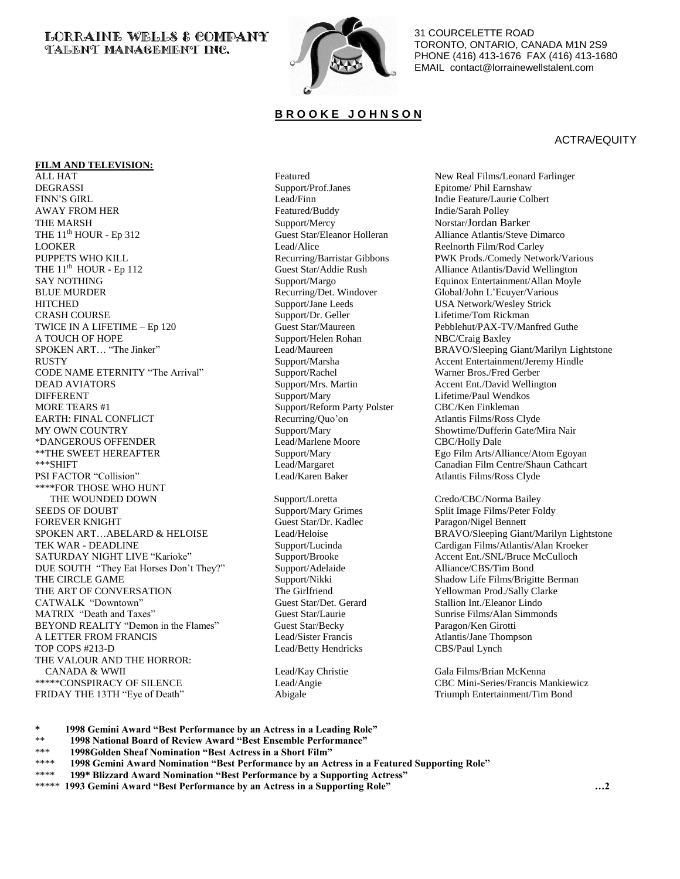## **LORRAINE WELLS & COMPANY TALENT MANAGEMENT INC.**



31 COURCELETTE ROAD TORONTO, ONTARIO, CANADA M1N 2S9 PHONE (416) 413-1676 FAX (416) 413-1680 EMAIL contact@lorrainewellstalent.com

# **B R O O K E J O H N S O N**

### ACTRA/EQUITY

### **FILM AND TELEVISION:**

ALL HAT **Featured** Featured **New Real Films/Leonard Farlinger** Featured DEGRASSI Support/Prof.Janes Epitome/ Phil Earnshaw FINN'S GIRL **EXECUTE:** Lead/Finn Lead/Finn Indie Feature/Laurie Colbert AWAY FROM HER Featured/Buddy Featured/Buddy Indie/Sarah Polley THE MARSH Support/Mercy Norstar/Jordan Barker THE 11<sup>th</sup> HOUR - Ep 312 Guest Star/Eleanor Holleran Alliance Atlantis/Steve Dimarco LOOKER Lead/Alice Reelnorth Film/Rod Carley PUPPETS WHO KILL **Recurring/Barristar Gibbons** PWK Prods./Comedy Network/Various PUPPETS WHO KILL **Recurring/Barristar Gibbons** PWK Prods./Comedy Network/Various Cuest Star/Addie Rush Alliance Atlantis/David Wellington SAY NOTHING SAY NOTHING Support/Margo Support/Margo Equinox Entertainment/Allan Moyle<br>
Recurring/Det. Windover Global/John L'Ecuyer/Various HITCHED Support/Jane Leeds USA Network/Wesley Strick CRASH COURSE Support/Dr. Geller Lifetime/Tom Rickman TWICE IN A LIFETIME – Ep 120 Guest Star/Maureen Pebblehut/PAX-TV/Manfred Guthe A TOUCH OF HOPE Support/Helen Rohan NBC/Craig Baxley A TOUCH OF HOPE Support/Helen Rohan SPOKEN ART... "The Jinker" Lead/Maureen Lead/Maureen BRAVO/Sleeping Giant/Marilyn Lightstone RUSTY Support/Marsha Accent Entertainment/Jeremy Hindle CODE NAME ETERNITY "The Arrival" Support/Rachel Warner Bros./Fred Gerber<br>DEAD AVIATORS Support/Mrs. Martin Accent Ent./David Welling DEAD AVIATORS Support/Mrs. Martin Accent Ent./David Wellington<br>
DIFFERENT Support/Mary Support/Mary Lifetime/Paul Wendkos DIFFERENT Support/Mary Lifetime/Paul Wendkos MORE TEARS #1 Support/Reform Party Polster CBC/Ken Finkleman EARTH: FINAL CONFLICT Recurring/Quo'on Atlantis Films/Ross Clyde MY OWN COUNTRY Support/Mary Support/Mary Showtime/Dufferin Gate/Mira Nair \*DANGEROUS OFFENDER Lead/Marlene Moore CBC/Holly Dale \*\*THE SWEET HEREAFTER Support/Mary Ego Film Arts/Alliance/Atom Egoyan Support/Mary Ego Film Arts/Alliance/Atom Egoyan<br>\*\*\*SHIFT Support/Margaret Canadian Film Centre/Shaun Cathcart PSI FACTOR "Collision" Lead/Karen Baker Atlantis Films/Ross Clyde \*\*\*\*FOR THOSE WHO HUNT THE WOUNDED DOWN Support/Loretta Credo/CBC/Norma Bailey SEEDS OF DOUBT Support/Mary Grimes Split Image Films/Peter Foldy FOREVER KNIGHT Guest Star/Dr. Kadlec Paragon/Nigel Bennett SPOKEN ART...ABELARD & HELOISE Lead/Heloise Lead/Heloise BRAVO/Sleeping Giant/Marilyn Lightstone TEK WAR - DEADLINE Support/Lucinda Cardigan Films/Atlantis/Alan Kroeker SATURDAY NIGHT LIVE "Karioke" Support/Brooke Accent Ent./SNL/Bruce McCulloch DUE SOUTH "They Eat Horses Don't They?" Support/Adelaide Alliance/CBS/Tim Bond<br>THE CIRCLE GAME Support/Nikki Shadow Life Films/Brigi THE CIRCLE GAME Support/Nikki Support/Nikki Shadow Life Films/Brigitte Berman THE ART OF CONVERSATION The Girlfriend The Girlfriend Yellowman Prod./Sally Clarke CATWALK "Downtown" Guest Star/Det. Gerard Stallion Int./Eleanor Lindo MATRIX "Death and Taxes" Guest Star/Laurie Sunrise Films/Alan Simmonds BEYOND REALITY "Demon in the Flames" Guest Star/Becky Paragon/Ken Girotti A LETTER FROM FRANCIS Lead/Sister Francis Atlantis/Jane Thompson TOP COPS #213-D Lead/Betty Hendricks CBS/Paul Lynch THE VALOUR AND THE HORROR: CANADA & WWII Lead/Kay Christie Gala Films/Brian McKenna \*\*\*\*\*CONSPIRACY OF SILENCE Lead/Angie Lead/Angie CBC Mini-Series/Francis Mankiewicz FRIDAY THE 13TH "Eye of Death" Abigale Abigale Triumph Entertainment/Tim Bond

Guest Star/Addie Rush Alliance Atlantis/David Wellington Global/John L'Ecuyer/Various Lead/Margaret Canadian Film Centre/Shaun Cathcart<br>
Lead/Karen Baker Atlantis Films/Ross Clyde

**\* 1998 Gemini Award "Best Performance by an Actress in a Leading Role"**

- \*\* **1998 National Board of Review Award "Best Ensemble Performance"**
- \*\*\* **1998Golden Sheaf Nomination "Best Actress in a Short Film"**<br>\*\*\*\* **1998 Comini Award Nomination "Best Berformance by an Act**
- \*\*\*\* **1998 Gemini Award Nomination "Best Performance by an Actress in a Featured Supporting Role"**<br>\*\*\*\* **190\* Plizzand Award Nomination "Pest Performance by a Supporting Actress"**
- \*\*\*\* **199\* Blizzard Award Nomination "Best Performance by a Supporting Actress"**
- \*\*\*\*\* **1993 Gemini Award "Best Performance by an Actress in a Supporting Role" …2**